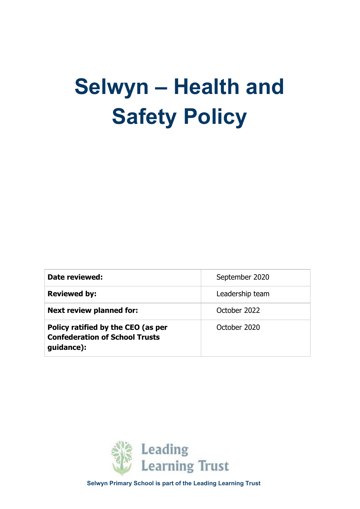# **Selwyn – Health and Safety Policy**

| Date reviewed:                                                                            | September 2020  |
|-------------------------------------------------------------------------------------------|-----------------|
| <b>Reviewed by:</b>                                                                       | Leadership team |
| <b>Next review planned for:</b>                                                           | October 2022    |
| Policy ratified by the CEO (as per<br><b>Confederation of School Trusts</b><br>guidance): | October 2020    |



**Selwyn Primary School is part of the Leading Learning Trust**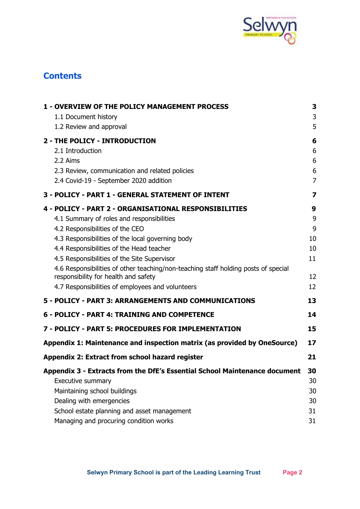

# **Contents**

| <b>1 - OVERVIEW OF THE POLICY MANAGEMENT PROCESS</b>                                                                       | 3                       |
|----------------------------------------------------------------------------------------------------------------------------|-------------------------|
| 1.1 Document history                                                                                                       | 3                       |
| 1.2 Review and approval                                                                                                    | 5                       |
| 2 - THE POLICY - INTRODUCTION                                                                                              | 6                       |
| 2.1 Introduction                                                                                                           | 6                       |
| 2.2 Aims                                                                                                                   | 6                       |
| 2.3 Review, communication and related policies                                                                             | 6                       |
| 2.4 Covid-19 - September 2020 addition                                                                                     | $\overline{7}$          |
| 3 - POLICY - PART 1 - GENERAL STATEMENT OF INTENT                                                                          | $\overline{\mathbf{z}}$ |
| 4 - POLICY - PART 2 - ORGANISATIONAL RESPONSIBILITIES                                                                      | 9                       |
| 4.1 Summary of roles and responsibilities                                                                                  | 9                       |
| 4.2 Responsibilities of the CEO                                                                                            | 9                       |
| 4.3 Responsibilities of the local governing body                                                                           | 10                      |
| 4.4 Responsibilities of the Head teacher                                                                                   | 10                      |
| 4.5 Responsibilities of the Site Supervisor                                                                                | 11                      |
| 4.6 Responsibilities of other teaching/non-teaching staff holding posts of special<br>responsibility for health and safety | 12                      |
| 4.7 Responsibilities of employees and volunteers                                                                           | 12                      |
| 5 - POLICY - PART 3: ARRANGEMENTS AND COMMUNICATIONS                                                                       | 13                      |
| 6 - POLICY - PART 4: TRAINING AND COMPETENCE                                                                               | 14                      |
| 7 - POLICY - PART 5: PROCEDURES FOR IMPLEMENTATION                                                                         | 15                      |
| Appendix 1: Maintenance and inspection matrix (as provided by OneSource)                                                   | 17                      |
| Appendix 2: Extract from school hazard register                                                                            | 21                      |
| Appendix 3 - Extracts from the DfE's Essential School Maintenance document                                                 | 30                      |
| Executive summary                                                                                                          | 30                      |
| Maintaining school buildings                                                                                               | 30                      |
| Dealing with emergencies                                                                                                   | 30                      |
| School estate planning and asset management                                                                                | 31                      |
| Managing and procuring condition works                                                                                     | 31                      |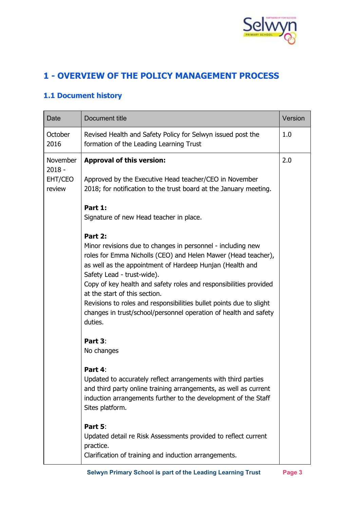

# <span id="page-2-0"></span>**1 - OVERVIEW OF THE POLICY MANAGEMENT PROCESS**

## <span id="page-2-1"></span>**1.1 Document history**

| <b>Date</b>                               | Document title                                                                                                                                                                                                                                                                                                                                                                                                                                                                                                                                                                                                                                                                                                                    | Version |
|-------------------------------------------|-----------------------------------------------------------------------------------------------------------------------------------------------------------------------------------------------------------------------------------------------------------------------------------------------------------------------------------------------------------------------------------------------------------------------------------------------------------------------------------------------------------------------------------------------------------------------------------------------------------------------------------------------------------------------------------------------------------------------------------|---------|
| October<br>2016                           | Revised Health and Safety Policy for Selwyn issued post the<br>formation of the Leading Learning Trust                                                                                                                                                                                                                                                                                                                                                                                                                                                                                                                                                                                                                            | 1.0     |
| November<br>$2018 -$<br>EHT/CEO<br>review | <b>Approval of this version:</b><br>Approved by the Executive Head teacher/CEO in November<br>2018; for notification to the trust board at the January meeting.<br>Part 1:<br>Signature of new Head teacher in place.<br>Part 2:<br>Minor revisions due to changes in personnel - including new<br>roles for Emma Nicholls (CEO) and Helen Mawer (Head teacher),<br>as well as the appointment of Hardeep Hunjan (Health and<br>Safety Lead - trust-wide).<br>Copy of key health and safety roles and responsibilities provided<br>at the start of this section.<br>Revisions to roles and responsibilities bullet points due to slight<br>changes in trust/school/personnel operation of health and safety<br>duties.<br>Part 3: | 2.0     |
|                                           | No changes<br>Part 4:<br>Updated to accurately reflect arrangements with third parties<br>and third party online training arrangements, as well as current<br>induction arrangements further to the development of the Staff<br>Sites platform.<br>Part 5:<br>Updated detail re Risk Assessments provided to reflect current<br>practice.<br>Clarification of training and induction arrangements.                                                                                                                                                                                                                                                                                                                                |         |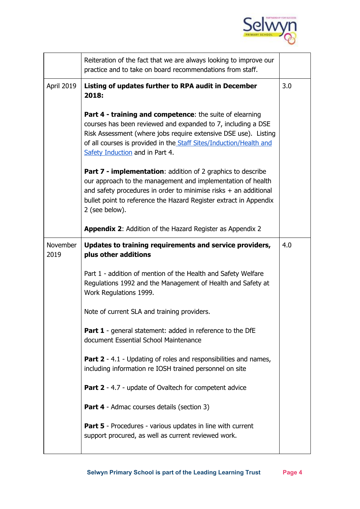

|                         | Reiteration of the fact that we are always looking to improve our<br>practice and to take on board recommendations from staff.                                                                                                                                                                       |     |
|-------------------------|------------------------------------------------------------------------------------------------------------------------------------------------------------------------------------------------------------------------------------------------------------------------------------------------------|-----|
| April 2019              | Listing of updates further to RPA audit in December<br>2018:                                                                                                                                                                                                                                         | 3.0 |
|                         | Part 4 - training and competence: the suite of elearning<br>courses has been reviewed and expanded to 7, including a DSE<br>Risk Assessment (where jobs require extensive DSE use). Listing<br>of all courses is provided in the Staff Sites/Induction/Health and<br>Safety Induction and in Part 4. |     |
|                         | <b>Part 7 - implementation:</b> addition of 2 graphics to describe<br>our approach to the management and implementation of health<br>and safety procedures in order to minimise risks $+$ an additional<br>bullet point to reference the Hazard Register extract in Appendix<br>2 (see below).       |     |
|                         | <b>Appendix 2: Addition of the Hazard Register as Appendix 2</b>                                                                                                                                                                                                                                     |     |
| <b>November</b><br>2019 | Updates to training requirements and service providers,<br>plus other additions                                                                                                                                                                                                                      | 4.0 |
|                         |                                                                                                                                                                                                                                                                                                      |     |
|                         | Part 1 - addition of mention of the Health and Safety Welfare<br>Regulations 1992 and the Management of Health and Safety at<br>Work Regulations 1999.                                                                                                                                               |     |
|                         | Note of current SLA and training providers.                                                                                                                                                                                                                                                          |     |
|                         | <b>Part 1</b> - general statement: added in reference to the DfE<br>document Essential School Maintenance                                                                                                                                                                                            |     |
|                         | <b>Part 2</b> - 4.1 - Updating of roles and responsibilities and names,<br>including information re IOSH trained personnel on site                                                                                                                                                                   |     |
|                         | <b>Part 2</b> - 4.7 - update of Ovaltech for competent advice                                                                                                                                                                                                                                        |     |
|                         | <b>Part 4</b> - Admac courses details (section 3)                                                                                                                                                                                                                                                    |     |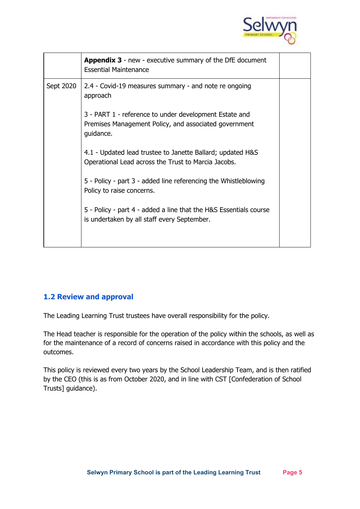

|           | <b>Appendix 3</b> - new - executive summary of the DfE document<br><b>Essential Maintenance</b>                              |  |
|-----------|------------------------------------------------------------------------------------------------------------------------------|--|
| Sept 2020 | 2.4 - Covid-19 measures summary - and note re ongoing<br>approach                                                            |  |
|           | 3 - PART 1 - reference to under development Estate and<br>Premises Management Policy, and associated government<br>guidance. |  |
|           | 4.1 - Updated lead trustee to Janette Ballard; updated H&S<br>Operational Lead across the Trust to Marcia Jacobs.            |  |
|           | 5 - Policy - part 3 - added line referencing the Whistleblowing<br>Policy to raise concerns.                                 |  |
|           | 5 - Policy - part 4 - added a line that the H&S Essentials course<br>is undertaken by all staff every September.             |  |
|           |                                                                                                                              |  |

#### <span id="page-4-0"></span>**1.2 Review and approval**

The Leading Learning Trust trustees have overall responsibility for the policy.

The Head teacher is responsible for the operation of the policy within the schools, as well as for the maintenance of a record of concerns raised in accordance with this policy and the outcomes.

This policy is reviewed every two years by the School Leadership Team, and is then ratified by the CEO (this is as from October 2020, and in line with CST [Confederation of School Trusts] guidance).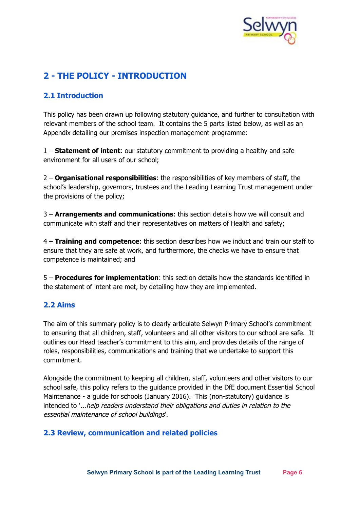

# <span id="page-5-0"></span>**2 - THE POLICY - INTRODUCTION**

## <span id="page-5-1"></span>**2.1 Introduction**

This policy has been drawn up following statutory guidance, and further to consultation with relevant members of the school team. It contains the 5 parts listed below, as well as an Appendix detailing our premises inspection management programme:

1 – **Statement of intent**: our statutory commitment to providing a healthy and safe environment for all users of our school;

2 – **Organisational responsibilities**: the responsibilities of key members of staff, the school's leadership, governors, trustees and the Leading Learning Trust management under the provisions of the policy;

3 – **Arrangements and communications**: this section details how we will consult and communicate with staff and their representatives on matters of Health and safety;

4 – **Training and competence**: this section describes how we induct and train our staff to ensure that they are safe at work, and furthermore, the checks we have to ensure that competence is maintained; and

5 – **Procedures for implementation**: this section details how the standards identified in the statement of intent are met, by detailing how they are implemented.

#### <span id="page-5-2"></span>**2.2 Aims**

The aim of this summary policy is to clearly articulate Selwyn Primary School's commitment to ensuring that all children, staff, volunteers and all other visitors to our school are safe. It outlines our Head teacher's commitment to this aim, and provides details of the range of roles, responsibilities, communications and training that we undertake to support this commitment.

Alongside the commitment to keeping all children, staff, volunteers and other visitors to our school safe, this policy refers to the guidance provided in the DfE document Essential School Maintenance - a guide for schools (January 2016). This (non-statutory) guidance is intended to '...help readers understand their obligations and duties in relation to the essential maintenance of school buildings'.

#### <span id="page-5-3"></span>**2.3 Review, communication and related policies**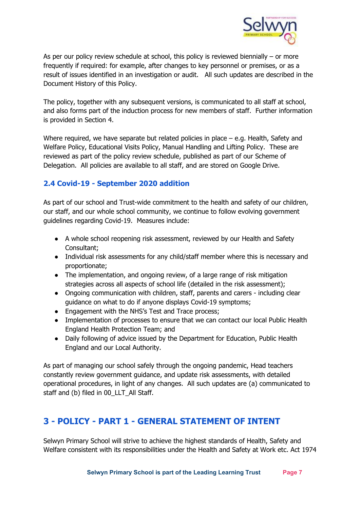

As per our policy review schedule at school, this policy is reviewed biennially – or more frequently if required: for example, after changes to key personnel or premises, or as a result of issues identified in an investigation or audit. All such updates are described in the Document History of this Policy.

The policy, together with any subsequent versions, is communicated to all staff at school, and also forms part of the induction process for new members of staff. Further information is provided in Section 4.

Where required, we have separate but related policies in place  $-$  e.g. Health, Safety and Welfare Policy, Educational Visits Policy, Manual Handling and Lifting Policy. These are reviewed as part of the policy review schedule, published as part of our Scheme of Delegation. All policies are available to all staff, and are stored on Google Drive.

#### <span id="page-6-0"></span>**2.4 Covid-19 - September 2020 addition**

As part of our school and Trust-wide commitment to the health and safety of our children, our staff, and our whole school community, we continue to follow evolving government guidelines regarding Covid-19. Measures include:

- A whole school reopening risk assessment, reviewed by our Health and Safety Consultant;
- Individual risk assessments for any child/staff member where this is necessary and proportionate;
- The implementation, and ongoing review, of a large range of risk mitigation strategies across all aspects of school life (detailed in the risk assessment);
- Ongoing communication with children, staff, parents and carers including clear guidance on what to do if anyone displays Covid-19 symptoms;
- Engagement with the NHS's Test and Trace process;
- Implementation of processes to ensure that we can contact our local Public Health England Health Protection Team; and
- Daily following of advice issued by the Department for Education, Public Health England and our Local Authority.

As part of managing our school safely through the ongoing pandemic, Head teachers constantly review government guidance, and update risk assessments, with detailed operational procedures, in light of any changes. All such updates are (a) communicated to staff and (b) filed in 00\_LLT\_All Staff.

# <span id="page-6-1"></span>**3 - POLICY - PART 1 - GENERAL STATEMENT OF INTENT**

Selwyn Primary School will strive to achieve the highest standards of Health, Safety and Welfare consistent with its responsibilities under the Health and Safety at Work etc. Act 1974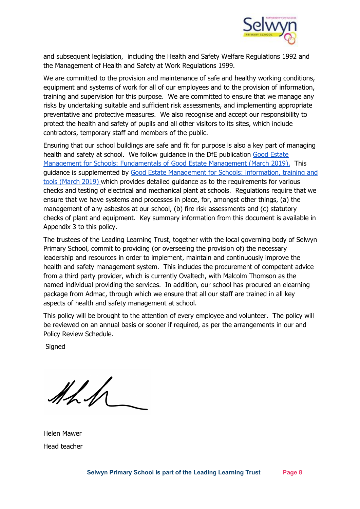

and subsequent legislation, including the Health and Safety Welfare Regulations 1992 and the Management of Health and Safety at Work Regulations 1999.

We are committed to the provision and maintenance of safe and healthy working conditions, equipment and systems of work for all of our employees and to the provision of information, training and supervision for this purpose. We are committed to ensure that we manage any risks by undertaking suitable and sufficient risk assessments, and implementing appropriate preventative and protective measures. We also recognise and accept our responsibility to protect the health and safety of pupils and all other visitors to its sites, which include contractors, temporary staff and members of the public.

Ensuring that our school buildings are safe and fit for purpose is also a key part of managing health and safety at school. We follow guidance in the DfE publication Good [Estate](https://www.gov.uk/guidance/good-estate-management-for-schools/the-fundamentals-of-good-estate-management) Management for Schools: [Fundamentals](https://www.gov.uk/guidance/good-estate-management-for-schools/the-fundamentals-of-good-estate-management) of Good Estate Management (March 2019). This guidance is supplemented by Good Estate [Management](https://www.gov.uk/guidance/good-estate-management-for-schools/information-training-and-tools) for Schools: information, training and tools [\(March](https://www.gov.uk/guidance/good-estate-management-for-schools/information-training-and-tools) 2019) which provides detailed guidance as to the requirements for various checks and testing of electrical and mechanical plant at schools. Regulations require that we ensure that we have systems and processes in place, for, amongst other things, (a) the management of any asbestos at our school, (b) fire risk assessments and (c) statutory checks of plant and equipment. Key summary information from this document is available in Appendix 3 to this policy.

The trustees of the Leading Learning Trust, together with the local governing body of Selwyn Primary School, commit to providing (or overseeing the provision of) the necessary leadership and resources in order to implement, maintain and continuously improve the health and safety management system. This includes the procurement of competent advice from a third party provider, which is currently Ovaltech, with Malcolm Thomson as the named individual providing the services. In addition, our school has procured an elearning package from Admac, through which we ensure that all our staff are trained in all key aspects of health and safety management at school.

This policy will be brought to the attention of every employee and volunteer. The policy will be reviewed on an annual basis or sooner if required, as per the arrangements in our and Policy Review Schedule.

**Signed** 

 $M_{\rm A}$ 

Helen Mawer Head teacher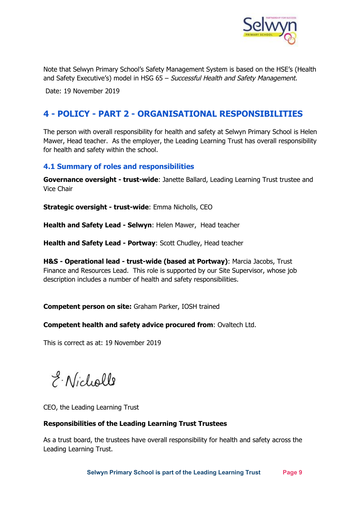

Note that Selwyn Primary School's Safety Management System is based on the HSE's (Health and Safety Executive's) model in HSG 65 - Successful Health and Safety Management.

Date: 19 November 2019

## <span id="page-8-0"></span>**4 - POLICY - PART 2 - ORGANISATIONAL RESPONSIBILITIES**

The person with overall responsibility for health and safety at Selwyn Primary School is Helen Mawer, Head teacher. As the employer, the Leading Learning Trust has overall responsibility for health and safety within the school.

#### <span id="page-8-1"></span>**4.1 Summary of roles and responsibilities**

**Governance oversight - trust-wide**: Janette Ballard, Leading Learning Trust trustee and Vice Chair

**Strategic oversight - trust-wide**: Emma Nicholls, CEO

**Health and Safety Lead - Selwyn**: Helen Mawer, Head teacher

**Health and Safety Lead - Portway**: Scott Chudley, Head teacher

**H&S - Operational lead - trust-wide (based at Portway)**: Marcia Jacobs, Trust Finance and Resources Lead. This role is supported by our Site Supervisor, whose job description includes a number of health and safety responsibilities.

**Competent person on site:** Graham Parker, IOSH trained

**Competent health and safety advice procured from**: Ovaltech Ltd.

This is correct as at: 19 November 2019

E. Nicholls

CEO, the Leading Learning Trust

#### **Responsibilities of the Leading Learning Trust Trustees**

As a trust board, the trustees have overall responsibility for health and safety across the Leading Learning Trust.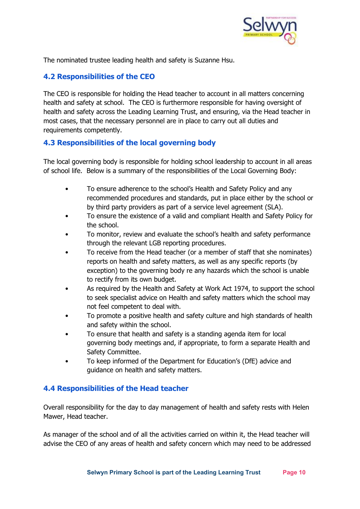

The nominated trustee leading health and safety is Suzanne Hsu.

#### <span id="page-9-0"></span>**4.2 Responsibilities of the CEO**

The CEO is responsible for holding the Head teacher to account in all matters concerning health and safety at school. The CEO is furthermore responsible for having oversight of health and safety across the Leading Learning Trust, and ensuring, via the Head teacher in most cases, that the necessary personnel are in place to carry out all duties and requirements competently.

#### <span id="page-9-1"></span>**4.3 Responsibilities of the local governing body**

The local governing body is responsible for holding school leadership to account in all areas of school life. Below is a summary of the responsibilities of the Local Governing Body:

- To ensure adherence to the school's Health and Safety Policy and any recommended procedures and standards, put in place either by the school or by third party providers as part of a service level agreement (SLA).
- To ensure the existence of a valid and compliant Health and Safety Policy for the school.
- To monitor, review and evaluate the school's health and safety performance through the relevant LGB reporting procedures.
- To receive from the Head teacher (or a member of staff that she nominates) reports on health and safety matters, as well as any specific reports (by exception) to the governing body re any hazards which the school is unable to rectify from its own budget.
- As required by the Health and Safety at Work Act 1974, to support the school to seek specialist advice on Health and safety matters which the school may not feel competent to deal with.
- To promote a positive health and safety culture and high standards of health and safety within the school.
- To ensure that health and safety is a standing agenda item for local governing body meetings and, if appropriate, to form a separate Health and Safety Committee.
- To keep informed of the Department for Education's (DfE) advice and guidance on health and safety matters.

#### <span id="page-9-2"></span>**4.4 Responsibilities of the Head teacher**

Overall responsibility for the day to day management of health and safety rests with Helen Mawer, Head teacher.

As manager of the school and of all the activities carried on within it, the Head teacher will advise the CEO of any areas of health and safety concern which may need to be addressed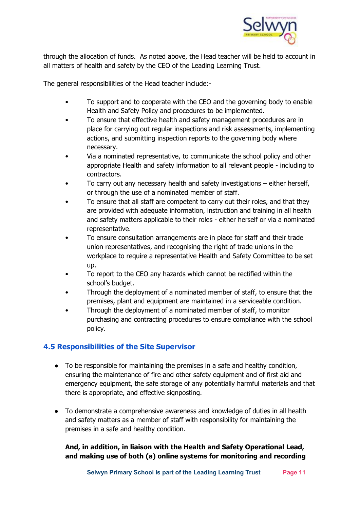

through the allocation of funds. As noted above, the Head teacher will be held to account in all matters of health and safety by the CEO of the Leading Learning Trust.

The general responsibilities of the Head teacher include:-

- To support and to cooperate with the CEO and the governing body to enable Health and Safety Policy and procedures to be implemented.
- To ensure that effective health and safety management procedures are in place for carrying out regular inspections and risk assessments, implementing actions, and submitting inspection reports to the governing body where necessary.
- Via a nominated representative, to communicate the school policy and other appropriate Health and safety information to all relevant people - including to contractors.
- To carry out any necessary health and safety investigations either herself, or through the use of a nominated member of staff.
- To ensure that all staff are competent to carry out their roles, and that they are provided with adequate information, instruction and training in all health and safety matters applicable to their roles - either herself or via a nominated representative.
- To ensure consultation arrangements are in place for staff and their trade union representatives, and recognising the right of trade unions in the workplace to require a representative Health and Safety Committee to be set up.
- To report to the CEO any hazards which cannot be rectified within the school's budget.
- Through the deployment of a nominated member of staff, to ensure that the premises, plant and equipment are maintained in a serviceable condition.
- Through the deployment of a nominated member of staff, to monitor purchasing and contracting procedures to ensure compliance with the school policy.

#### <span id="page-10-0"></span>**4.5 Responsibilities of the Site Supervisor**

- To be responsible for maintaining the premises in a safe and healthy condition, ensuring the maintenance of fire and other safety equipment and of first aid and emergency equipment, the safe storage of any potentially harmful materials and that there is appropriate, and effective signposting.
- To demonstrate a comprehensive awareness and knowledge of duties in all health and safety matters as a member of staff with responsibility for maintaining the premises in a safe and healthy condition.

#### **And, in addition, in liaison with the Health and Safety Operational Lead, and making use of both (a) online systems for monitoring and recording**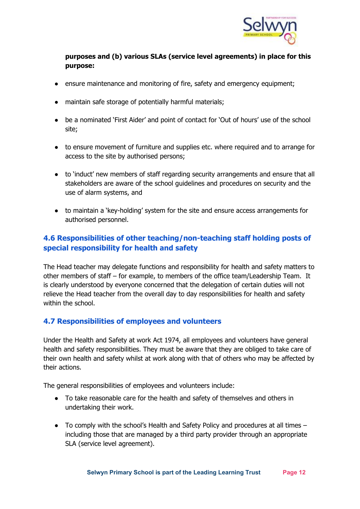

#### **purposes and (b) various SLAs (service level agreements) in place for this purpose:**

- ensure maintenance and monitoring of fire, safety and emergency equipment;
- maintain safe storage of potentially harmful materials;
- be a nominated 'First Aider' and point of contact for 'Out of hours' use of the school site;
- to ensure movement of furniture and supplies etc. where required and to arrange for access to the site by authorised persons;
- to 'induct' new members of staff regarding security arrangements and ensure that all stakeholders are aware of the school guidelines and procedures on security and the use of alarm systems, and
- to maintain a 'key-holding' system for the site and ensure access arrangements for authorised personnel.

## <span id="page-11-0"></span>**4.6 Responsibilities of other teaching/non-teaching staff holding posts of special responsibility for health and safety**

The Head teacher may delegate functions and responsibility for health and safety matters to other members of staff – for example, to members of the office team/Leadership Team. It is clearly understood by everyone concerned that the delegation of certain duties will not relieve the Head teacher from the overall day to day responsibilities for health and safety within the school.

#### <span id="page-11-1"></span>**4.7 Responsibilities of employees and volunteers**

Under the Health and Safety at work Act 1974, all employees and volunteers have general health and safety responsibilities. They must be aware that they are obliged to take care of their own health and safety whilst at work along with that of others who may be affected by their actions.

The general responsibilities of employees and volunteers include:

- To take reasonable care for the health and safety of themselves and others in undertaking their work.
- $\bullet$  To comply with the school's Health and Safety Policy and procedures at all times  $$ including those that are managed by a third party provider through an appropriate SLA (service level agreement).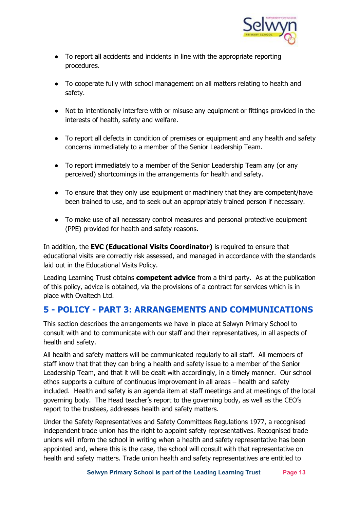

- To report all accidents and incidents in line with the appropriate reporting procedures.
- To cooperate fully with school management on all matters relating to health and safety.
- Not to intentionally interfere with or misuse any equipment or fittings provided in the interests of health, safety and welfare.
- To report all defects in condition of premises or equipment and any health and safety concerns immediately to a member of the Senior Leadership Team.
- To report immediately to a member of the Senior Leadership Team any (or any perceived) shortcomings in the arrangements for health and safety.
- To ensure that they only use equipment or machinery that they are competent/have been trained to use, and to seek out an appropriately trained person if necessary.
- To make use of all necessary control measures and personal protective equipment (PPE) provided for health and safety reasons.

In addition, the **EVC (Educational Visits Coordinator)** is required to ensure that educational visits are correctly risk assessed, and managed in accordance with the standards laid out in the Educational Visits Policy.

Leading Learning Trust obtains **competent advice** from a third party. As at the publication of this policy, advice is obtained, via the provisions of a contract for services which is in place with Ovaltech Ltd.

## <span id="page-12-0"></span>**5 - POLICY - PART 3: ARRANGEMENTS AND COMMUNICATIONS**

This section describes the arrangements we have in place at Selwyn Primary School to consult with and to communicate with our staff and their representatives, in all aspects of health and safety.

All health and safety matters will be communicated regularly to all staff. All members of staff know that that they can bring a health and safety issue to a member of the Senior Leadership Team, and that it will be dealt with accordingly, in a timely manner. Our school ethos supports a culture of continuous improvement in all areas – health and safety included. Health and safety is an agenda item at staff meetings and at meetings of the local governing body. The Head teacher's report to the governing body, as well as the CEO's report to the trustees, addresses health and safety matters.

Under the Safety Representatives and Safety Committees Regulations 1977, a recognised independent trade union has the right to appoint safety representatives. Recognised trade unions will inform the school in writing when a health and safety representative has been appointed and, where this is the case, the school will consult with that representative on health and safety matters. Trade union health and safety representatives are entitled to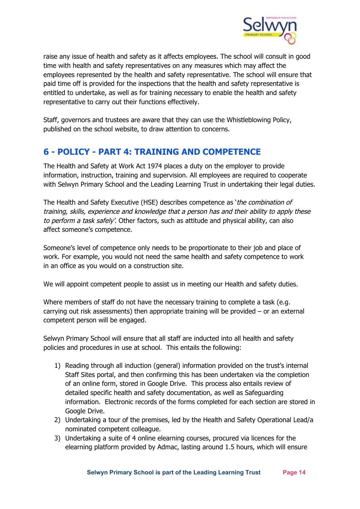

raise any issue of health and safety as it affects employees. The school will consult in good time with health and safety representatives on any measures which may affect the employees represented by the health and safety representative. The school will ensure that paid time off is provided for the inspections that the health and safety representative is entitled to undertake, as well as for training necessary to enable the health and safety representative to carry out their functions effectively.

Staff, governors and trustees are aware that they can use the Whistleblowing Policy, published on the school website, to draw attention to concerns.

# <span id="page-13-0"></span>**6 - POLICY - PART 4: TRAINING AND COMPETENCE**

The Health and Safety at Work Act 1974 places a duty on the employer to provide information, instruction, training and supervision. All employees are required to cooperate with Selwyn Primary School and the Leading Learning Trust in undertaking their legal duties.

The Health and Safety Executive (HSE) describes competence as 'the combination of training, skills, experience and knowledge that <sup>a</sup> person has and their ability to apply these to perform a task safely'. Other factors, such as attitude and physical ability, can also affect someone's competence.

Someone's level of competence only needs to be proportionate to their job and place of work. For example, you would not need the same health and safety competence to work in an office as you would on a construction site.

We will appoint competent people to assist us in meeting our Health and safety duties.

Where members of staff do not have the necessary training to complete a task (e.g. carrying out risk assessments) then appropriate training will be provided – or an external competent person will be engaged.

Selwyn Primary School will ensure that all staff are inducted into all health and safety policies and procedures in use at school. This entails the following:

- 1) Reading through all induction (general) information provided on the trust's internal Staff Sites portal, and then confirming this has been undertaken via the completion of an online form, stored in Google Drive. This process also entails review of detailed specific health and safety documentation, as well as Safeguarding information. Electronic records of the forms completed for each section are stored in Google Drive.
- 2) Undertaking a tour of the premises, led by the Health and Safety Operational Lead/a nominated competent colleague.
- 3) Undertaking a suite of 4 online elearning courses, procured via licences for the elearning platform provided by Admac, lasting around 1.5 hours, which will ensure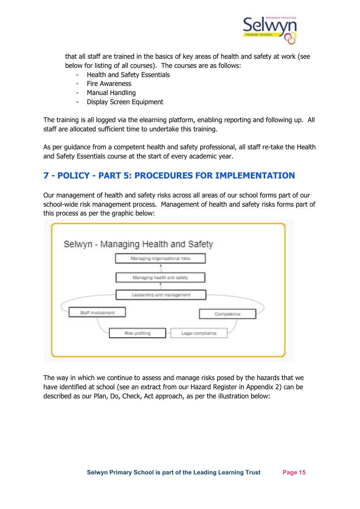

that all staff are trained in the basics of key areas of health and safety at work (see below for listing of all courses). The courses are as follows:

- Health and Safety Essentials
- Fire Awareness
- Manual Handling
- Display Screen Equipment

The training is all logged via the elearning platform, enabling reporting and following up. All staff are allocated sufficient time to undertake this training.

As per guidance from a competent health and safety professional, all staff re-take the Health and Safety Essentials course at the start of every academic year.

# <span id="page-14-0"></span>**7 - POLICY - PART 5: PROCEDURES FOR IMPLEMENTATION**

Our management of health and safety risks across all areas of our school forms part of our school-wide risk management process. Management of health and safety risks forms part of this process as per the graphic below:



The way in which we continue to assess and manage risks posed by the hazards that we have identified at school (see an extract from our Hazard Register in Appendix 2) can be described as our Plan, Do, Check, Act approach, as per the illustration below: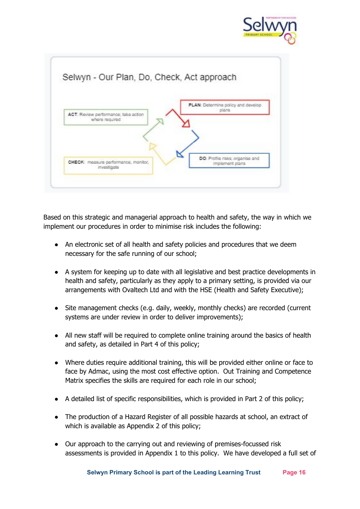



Based on this strategic and managerial approach to health and safety, the way in which we implement our procedures in order to minimise risk includes the following:

- An electronic set of all health and safety policies and procedures that we deem necessary for the safe running of our school;
- A system for keeping up to date with all legislative and best practice developments in health and safety, particularly as they apply to a primary setting, is provided via our arrangements with Ovaltech Ltd and with the HSE (Health and Safety Executive);
- Site management checks (e.g. daily, weekly, monthly checks) are recorded (current systems are under review in order to deliver improvements);
- All new staff will be required to complete online training around the basics of health and safety, as detailed in Part 4 of this policy;
- Where duties require additional training, this will be provided either online or face to face by Admac, using the most cost effective option. Out Training and Competence Matrix specifies the skills are required for each role in our school;
- A detailed list of specific responsibilities, which is provided in Part 2 of this policy;
- The production of a Hazard Register of all possible hazards at school, an extract of which is available as Appendix 2 of this policy;
- Our approach to the carrying out and reviewing of premises-focussed risk assessments is provided in Appendix 1 to this policy. We have developed a full set of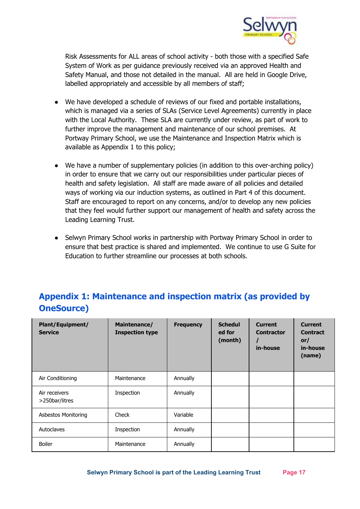

Risk Assessments for ALL areas of school activity - both those with a specified Safe System of Work as per guidance previously received via an approved Health and Safety Manual, and those not detailed in the manual. All are held in Google Drive, labelled appropriately and accessible by all members of staff;

- We have developed a schedule of reviews of our fixed and portable installations, which is managed via a series of SLAs (Service Level Agreements) currently in place with the Local Authority. These SLA are currently under review, as part of work to further improve the management and maintenance of our school premises. At Portway Primary School, we use the Maintenance and Inspection Matrix which is available as Appendix 1 to this policy;
- We have a number of supplementary policies (in addition to this over-arching policy) in order to ensure that we carry out our responsibilities under particular pieces of health and safety legislation. All staff are made aware of all policies and detailed ways of working via our induction systems, as outlined in Part 4 of this document. Staff are encouraged to report on any concerns, and/or to develop any new policies that they feel would further support our management of health and safety across the Leading Learning Trust.
- Selwyn Primary School works in partnership with Portway Primary School in order to ensure that best practice is shared and implemented. We continue to use G Suite for Education to further streamline our processes at both schools.

# <span id="page-16-0"></span>**Appendix 1: Maintenance and inspection matrix (as provided by OneSource)**

| <b>Plant/Equipment/</b><br><b>Service</b> | Maintenance/<br><b>Inspection type</b> | <b>Frequency</b> | <b>Schedul</b><br>ed for<br>(month) | <b>Current</b><br><b>Contractor</b><br>in-house | <b>Current</b><br><b>Contract</b><br>or/<br>in-house<br>(name) |
|-------------------------------------------|----------------------------------------|------------------|-------------------------------------|-------------------------------------------------|----------------------------------------------------------------|
| Air Conditioning                          | Maintenance                            | Annually         |                                     |                                                 |                                                                |
| Air receivers<br>>250bar/litres           | Inspection                             | Annually         |                                     |                                                 |                                                                |
| <b>Asbestos Monitoring</b>                | Check                                  | Variable         |                                     |                                                 |                                                                |
| Autoclaves                                | Inspection                             | Annually         |                                     |                                                 |                                                                |
| <b>Boiler</b>                             | Maintenance                            | Annually         |                                     |                                                 |                                                                |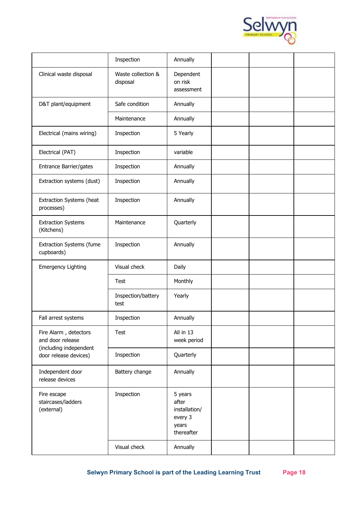

|                                                 | Inspection                     | Annually                                                            |  |  |
|-------------------------------------------------|--------------------------------|---------------------------------------------------------------------|--|--|
| Clinical waste disposal                         | Waste collection &<br>disposal | Dependent<br>on risk<br>assessment                                  |  |  |
| D&T plant/equipment                             | Safe condition                 | Annually                                                            |  |  |
|                                                 | Maintenance                    | Annually                                                            |  |  |
| Electrical (mains wiring)                       | Inspection                     | 5 Yearly                                                            |  |  |
| Electrical (PAT)                                | Inspection                     | variable                                                            |  |  |
| Entrance Barrier/gates                          | Inspection                     | Annually                                                            |  |  |
| Extraction systems (dust)                       | Inspection                     | Annually                                                            |  |  |
| Extraction Systems (heat<br>processes)          | Inspection                     | Annually                                                            |  |  |
| <b>Extraction Systems</b><br>(Kitchens)         | Maintenance                    | Quarterly                                                           |  |  |
| <b>Extraction Systems (fume</b><br>cupboards)   | Inspection                     | Annually                                                            |  |  |
| <b>Emergency Lighting</b>                       | Visual check                   | Daily                                                               |  |  |
|                                                 | Test                           | Monthly                                                             |  |  |
|                                                 | Inspection/battery<br>test     | Yearly                                                              |  |  |
| Fall arrest systems                             | Inspection                     | Annually                                                            |  |  |
| Fire Alarm, detectors<br>and door release       | <b>Test</b>                    | All in 13<br>week period                                            |  |  |
| (including independent<br>door release devices) | Inspection                     | Quarterly                                                           |  |  |
| Independent door<br>release devices             | Battery change                 | Annually                                                            |  |  |
| Fire escape<br>staircases/ladders<br>(external) | Inspection                     | 5 years<br>after<br>installation/<br>every 3<br>years<br>thereafter |  |  |
|                                                 | Visual check                   | Annually                                                            |  |  |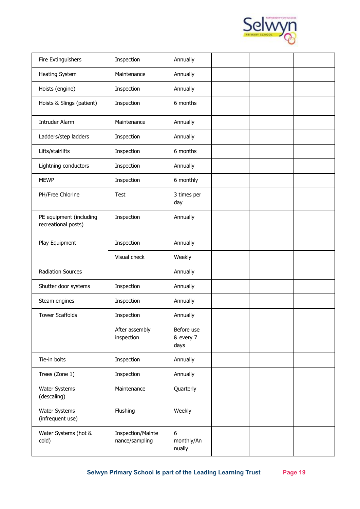

| Fire Extinguishers                             | Inspection                                 | Annually                        |  |  |
|------------------------------------------------|--------------------------------------------|---------------------------------|--|--|
| <b>Heating System</b>                          | Maintenance                                | Annually                        |  |  |
| Hoists (engine)                                | Inspection                                 | Annually                        |  |  |
| Hoists & Slings (patient)                      | Inspection                                 | 6 months                        |  |  |
| <b>Intruder Alarm</b>                          | Maintenance                                | Annually                        |  |  |
| Ladders/step ladders                           | Inspection                                 | Annually                        |  |  |
| Lifts/stairlifts                               | Inspection                                 | 6 months                        |  |  |
| Lightning conductors                           | Inspection                                 | Annually                        |  |  |
| <b>MEWP</b>                                    | Inspection                                 | 6 monthly                       |  |  |
| PH/Free Chlorine                               | <b>Test</b>                                | 3 times per<br>day              |  |  |
| PE equipment (including<br>recreational posts) | Inspection                                 | Annually                        |  |  |
| Play Equipment                                 | Inspection                                 | Annually                        |  |  |
|                                                | Visual check                               | Weekly                          |  |  |
| <b>Radiation Sources</b>                       |                                            | Annually                        |  |  |
| Shutter door systems                           | Inspection                                 | Annually                        |  |  |
| Steam engines                                  | Inspection                                 | Annually                        |  |  |
| <b>Tower Scaffolds</b>                         | Inspection                                 | Annually                        |  |  |
|                                                | After assembly<br>inspection               | Before use<br>& every 7<br>days |  |  |
| Tie-in bolts                                   | Inspection                                 | Annually                        |  |  |
| Trees (Zone 1)                                 | Inspection                                 | Annually                        |  |  |
| Water Systems<br>(descaling)                   | Maintenance                                | Quarterly                       |  |  |
| Water Systems<br>(infrequent use)              | Flushing                                   | Weekly                          |  |  |
| Water Systems (hot &<br>cold)                  | <b>Inspection/Mainte</b><br>nance/sampling | 6<br>monthly/An<br>nually       |  |  |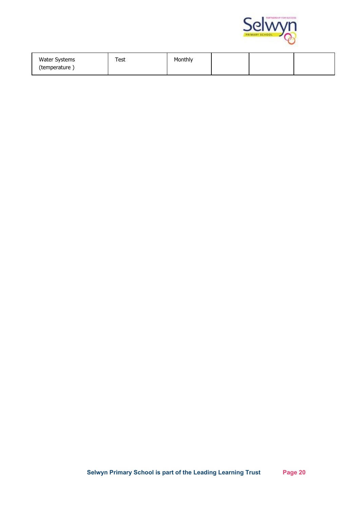

| <b>Water Systems</b><br>(temperature) | Test | Monthly |  |  |
|---------------------------------------|------|---------|--|--|
|                                       |      |         |  |  |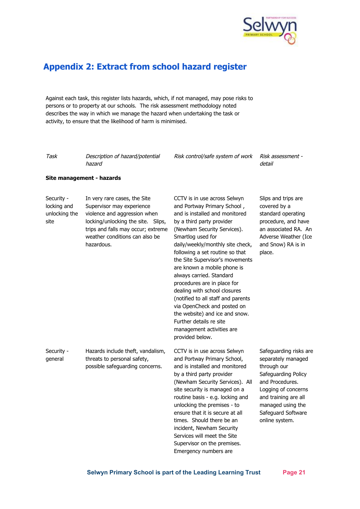

## <span id="page-20-0"></span>**Appendix 2: Extract from school hazard register**

Against each task, this register lists hazards, which, if not managed, may pose risks to persons or to property at our schools. The risk assessment methodology noted describes the way in which we manage the hazard when undertaking the task or activity, to ensure that the likelihood of harm is minimised.

Task Description of hazard/potential hazard

Risk control/safe system of work Risk assessment -

detail

#### **Site management - hazards**

Security locking and unlocking the site

Supervisor may experience violence and aggression when locking/unlocking the site. Slips, trips and falls may occur; extreme weather conditions can also be hazardous.

In very rare cases, the Site

CCTV is in use across Selwyn and Portway Primary School , and is installed and monitored by a third party provider (Newham Security Services). Smartlog used for daily/weekly/monthly site check, following a set routine so that the Site Supervisor's movements are known a mobile phone is always carried. Standard procedures are in place for dealing with school closures (notified to all staff and parents via OpenCheck and posted on the website) and ice and snow. Further details re site management activities are provided below.

Slips and trips are covered by a standard operating procedure, and have an associated RA. An Adverse Weather (Ice and Snow) RA is in place.

Security general Hazards include theft, vandalism, threats to personal safety, possible safeguarding concerns.

CCTV is in use across Selwyn and Portway Primary School, and is installed and monitored by a third party provider (Newham Security Services). All site security is managed on a routine basis - e.g. locking and unlocking the premises - to ensure that it is secure at all times. Should there be an incident, Newham Security Services will meet the Site Supervisor on the premises.

Emergency numbers are

Safeguarding risks are separately managed through our Safeguarding Policy and Procedures. Logging of concerns and training are all managed using the Safeguard Software online system.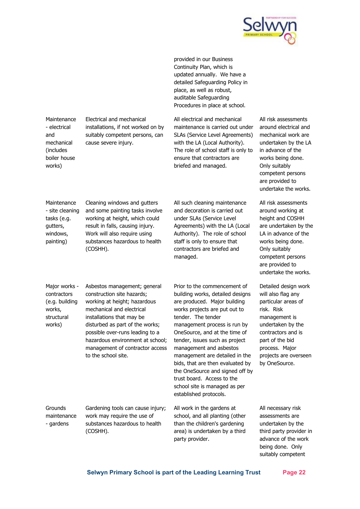

provided in our Business Continuity Plan, which is updated annually. We have a detailed Safeguarding Policy in place, as well as robust, auditable Safeguarding Procedures in place at school.

All electrical and mechanical maintenance is carried out under SLAs (Service Level Agreements) with the LA (Local Authority). The role of school staff is only to ensure that contractors are briefed and managed.

All risk assessments around electrical and mechanical work are undertaken by the LA in advance of the works being done. Only suitably competent persons are provided to undertake the works.

All risk assessments around working at height and COSHH are undertaken by the LA in advance of the works being done. Only suitably competent persons are provided to undertake the works.

Detailed design work will also flag any particular areas of risk. Risk management is undertaken by the contractors and is part of the bid process. Major projects are overseen by OneSource.

All necessary risk assessments are undertaken by the third party provider in advance of the work being done. Only suitably competent

result in falls, causing injury. Work will also require using substances hazardous to health (COSHH). managed. Major works contractors (e.g. building works, structural works) Asbestos management; general construction site hazards; working at height; hazardous mechanical and electrical installations that may be disturbed as part of the works; possible over-runs leading to a hazardous environment at school; management of contractor access to the school site. Prior to the commencement of building works, detailed designs are produced. Major building tender. The tender established protocols. Grounds maintenance - gardens Gardening tools can cause injury; work may require the use of substances hazardous to health (COSHH). All work in the gardens at party provider.

Maintenance - electrical and mechanical (includes boiler house works)

Electrical and mechanical installations, if not worked on by suitably competent persons, can cause severe injury.

**Maintenance** - site cleaning tasks (e.g. gutters, windows, painting)

Cleaning windows and gutters and some painting tasks involve working at height, which could

All such cleaning maintenance and decoration is carried out under SLAs (Service Level Agreements) with the LA (Local Authority). The role of school staff is only to ensure that contractors are briefed and

works projects are put out to management process is run by OneSource, and at the time of tender, issues such as project management and asbestos management are detailed in the bids, that are then evaluated by the OneSource and signed off by trust board. Access to the school site is managed as per

school, and all planting (other than the children's gardening area) is undertaken by a third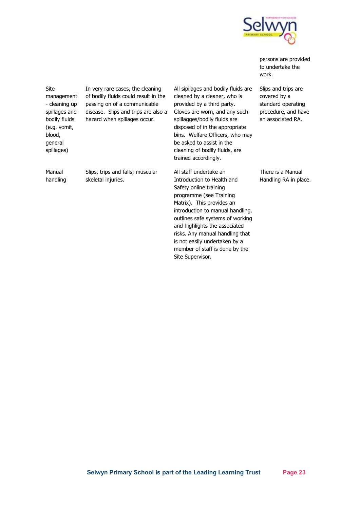

persons are provided to undertake the work.

Site management - cleaning up spillages and bodily fluids (e.g. vomit, blood, general spillages)

Manual handling In very rare cases, the cleaning of bodily fluids could result in the passing on of a communicable disease. Slips and trips are also a hazard when spillages occur.

Slips, trips and falls; muscular

skeletal injuries.

All sipilages and bodily fluids are cleaned by a cleaner, who is provided by a third party. Gloves are worn, and any such spillagges/bodily fluids are disposed of in the appropriate bins. Welfare Officers, who may be asked to assist in the cleaning of bodily fluids, are trained accordingly.

All staff undertake an Introduction to Health and Safety online training programme (see Training Matrix). This provides an introduction to manual handling, outlines safe systems of working and highlights the associated risks. Any manual handling that is not easily undertaken by a member of staff is done by the Site Supervisor.

Slips and trips are covered by a standard operating procedure, and have an associated RA.

There is a Manual Handling RA in place.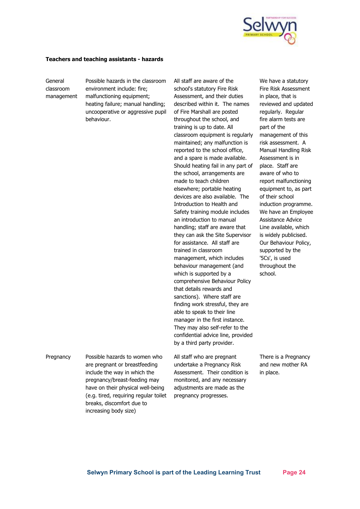

#### **Teachers and teaching assistants - hazards**

General classroom management Possible hazards in the classroom environment include: fire; malfunctioning equipment; heating failure; manual handling; uncooperative or aggressive pupil behaviour.

All staff are aware of the school's statutory Fire Risk Assessment, and their duties described within it. The names of Fire Marshall are posted throughout the school, and training is up to date. All classroom equipment is regularly maintained; any malfunction is reported to the school office, and a spare is made available. Should heating fail in any part of the school, arrangements are made to teach children elsewhere; portable heating devices are also available. The Introduction to Health and Safety training module includes an introduction to manual handling; staff are aware that they can ask the Site Supervisor for assistance. All staff are trained in classroom management, which includes behaviour management (and which is supported by a comprehensive Behaviour Policy that details rewards and sanctions). Where staff are finding work stressful, they are able to speak to their line manager in the first instance. They may also self-refer to the confidential advice line, provided by a third party provider.

We have a statutory Fire Risk Assessment in place, that is reviewed and updated regularly. Regular fire alarm tests are part of the management of this risk assessment. A Manual Handling Risk Assessment is in place. Staff are aware of who to report malfunctioning equipment to, as part of their school induction programme. We have an Employee Assistance Advice Line available, which is widely publicised. Our Behaviour Policy, supported by the '5Cs', is used throughout the school.

Pregnancy Possible hazards to women who are pregnant or breastfeeding include the way in which the pregnancy/breast-feeding may have on their physical well-being (e.g. tired, requiring regular toilet breaks, discomfort due to increasing body size)

All staff who are pregnant undertake a Pregnancy Risk Assessment. Their condition is monitored, and any necessary adjustments are made as the pregnancy progresses.

There is a Pregnancy and new mother RA in place.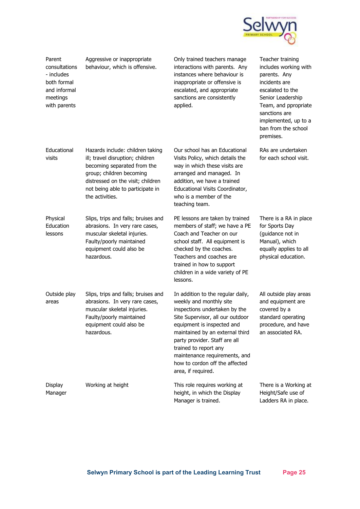

| Parent<br>consultations<br>- includes<br>both formal<br>and informal<br>meetings<br>with parents | Aggressive or inappropriate<br>behaviour, which is offensive.                                                                                                                                                               | Only trained teachers manage<br>interactions with parents. Any<br>instances where behaviour is<br>inappropriate or offensive is<br>escalated, and appropriate<br>sanctions are consistently<br>applied.                                                                                                                                               | Teacher training<br>includes working with<br>parents. Any<br>incidents are<br>escalated to the<br>Senior Leadership<br>Team, and ppropriate<br>sanctions are<br>implemented, up to a<br>ban from the school<br>premises. |
|--------------------------------------------------------------------------------------------------|-----------------------------------------------------------------------------------------------------------------------------------------------------------------------------------------------------------------------------|-------------------------------------------------------------------------------------------------------------------------------------------------------------------------------------------------------------------------------------------------------------------------------------------------------------------------------------------------------|--------------------------------------------------------------------------------------------------------------------------------------------------------------------------------------------------------------------------|
| Educational<br>visits                                                                            | Hazards include: children taking<br>ill; travel disruption; children<br>becoming separated from the<br>group; children becoming<br>distressed on the visit; children<br>not being able to participate in<br>the activities. | Our school has an Educational<br>Visits Policy, which details the<br>way in which these visits are<br>arranged and managed. In<br>addition, we have a trained<br>Educational Visits Coordinator,<br>who is a member of the<br>teaching team.                                                                                                          | RAs are undertaken<br>for each school visit.                                                                                                                                                                             |
| Physical<br>Education<br>lessons                                                                 | Slips, trips and falls; bruises and<br>abrasions. In very rare cases,<br>muscular skeletal injuries.<br>Faulty/poorly maintained<br>equipment could also be<br>hazardous.                                                   | PE lessons are taken by trained<br>members of staff; we have a PE<br>Coach and Teacher on our<br>school staff. All equipment is<br>checked by the coaches.<br>Teachers and coaches are<br>trained in how to support<br>children in a wide variety of PE<br>lessons.                                                                                   | There is a RA in place<br>for Sports Day<br>(guidance not in<br>Manual), which<br>equally applies to all<br>physical education.                                                                                          |
| Outside play<br>areas                                                                            | Slips, trips and falls; bruises and<br>abrasions. In very rare cases,<br>muscular skeletal injuries.<br>Faulty/poorly maintained<br>equipment could also be<br>hazardous.                                                   | In addition to the regular daily,<br>weekly and monthly site<br>inspections undertaken by the<br>Site Supervisor, all our outdoor<br>equipment is inspected and<br>maintained by an external third<br>party provider. Staff are all<br>trained to report any<br>maintenance requirements, and<br>how to cordon off the affected<br>area, if required. | All outside play areas<br>and equipment are<br>covered by a<br>standard operating<br>procedure, and have<br>an associated RA.                                                                                            |
| Display<br>Manager                                                                               | Working at height                                                                                                                                                                                                           | This role requires working at<br>height, in which the Display<br>Manager is trained.                                                                                                                                                                                                                                                                  | There is a Working at<br>Height/Safe use of<br>Ladders RA in place.                                                                                                                                                      |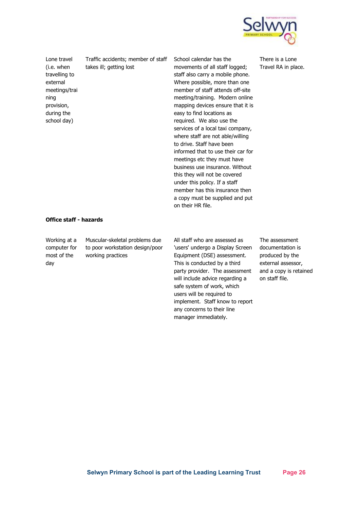

Lone travel (i.e. when travelling to external meetings/trai ning provision, during the school day)

Traffic accidents; member of staff takes ill; getting lost

School calendar has the movements of all staff logged; staff also carry a mobile phone. Where possible, more than one member of staff attends off-site meeting/training. Modern online mapping devices ensure that it is easy to find locations as required. We also use the services of a local taxi company, where staff are not able/willing to drive. Staff have been informed that to use their car for meetings etc they must have business use insurance. Without this they will not be covered under this policy. If a staff member has this insurance then a copy must be supplied and put on their HR file.

There is a Lone Travel RA in place.

#### **Office staff - hazards**

Working at a computer for most of the day Muscular-skeletal problems due to poor workstation design/poor working practices

All staff who are assessed as 'users' undergo a Display Screen Equipment (DSE) assessment. This is conducted by a third party provider. The assessment will include advice regarding a safe system of work, which users will be required to implement. Staff know to report any concerns to their line manager immediately.

The assessment documentation is produced by the external assessor, and a copy is retained on staff file.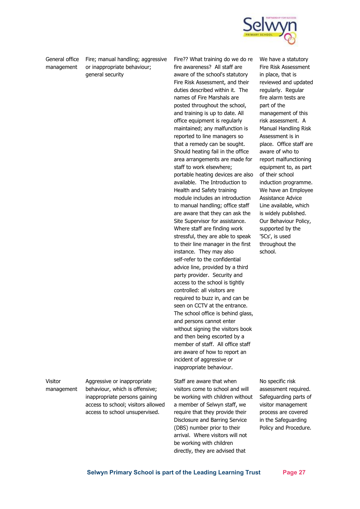

General office management

Fire; manual handling; aggressive or inappropriate behaviour; general security

Fire?? What training do we do re fire awareness? All staff are aware of the school's statutory Fire Risk Assessment, and their duties described within it. The names of Fire Marshals are posted throughout the school, and training is up to date. All office equipment is regularly maintained; any malfunction is reported to line managers so that a remedy can be sought. Should heating fail in the office area arrangements are made for staff to work elsewhere; portable heating devices are also available. The Introduction to Health and Safety training module includes an introduction to manual handling; office staff are aware that they can ask the Site Supervisor for assistance. Where staff are finding work stressful, they are able to speak to their line manager in the first instance. They may also self-refer to the confidential advice line, provided by a third party provider. Security and access to the school is tightly controlled: all visitors are required to buzz in, and can be seen on CCTV at the entrance. The school office is behind glass, and persons cannot enter without signing the visitors book and then being escorted by a member of staff. All office staff are aware of how to report an incident of aggressive or inappropriate behaviour.

Staff are aware that when visitors come to school and will be working with children without a member of Selwyn staff, we require that they provide their Disclosure and Barring Service (DBS) number prior to their arrival. Where visitors will not be working with children directly, they are advised that

We have a statutory Fire Risk Assessment in place, that is reviewed and updated regularly. Regular fire alarm tests are part of the management of this risk assessment. A Manual Handling Risk Assessment is in place. Office staff are aware of who to report malfunctioning equipment to, as part of their school induction programme. We have an Employee Assistance Advice Line available, which is widely published. Our Behaviour Policy, supported by the '5Cs', is used throughout the school.

No specific risk assessment required. Safeguarding parts of visitor management process are covered in the Safeguarding Policy and Procedure.

Visitor management Aggressive or inappropriate behaviour, which is offensive; inappropriate persons gaining access to school; visitors allowed access to school unsupervised.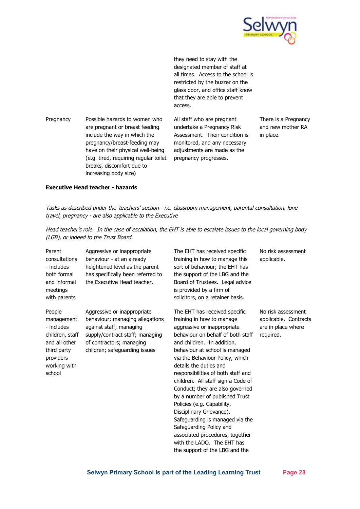

they need to stay with the designated member of staff at all times. Access to the school is restricted by the buzzer on the glass door, and office staff know that they are able to prevent access.

Pregnancy Possible hazards to women who are pregnant or breast feeding include the way in which the pregnancy/breast-feeding may have on their physical well-being (e.g. tired, requiring regular toilet breaks, discomfort due to increasing body size)

All staff who are pregnant undertake a Pregnancy Risk Assessment. Their condition is monitored, and any necessary adjustments are made as the pregnancy progresses.

There is a Pregnancy and new mother RA in place.

#### **Executive Head teacher - hazards**

Tasks as described under the 'teachers' section - i.e. classroom management, parental consultation, lone travel, pregnancy - are also applicable to the Executive

Head teacher's role. In the case of escalation, the EHT is able to escalate issues to the local governing body (LGB), or indeed to the Trust Board.

| Parent<br>consultations<br>- includes<br>both formal<br>and informal<br>meetings<br>with parents                             | Aggressive or inappropriate<br>behaviour - at an already<br>heightened level as the parent<br>has specifically been referred to<br>the Executive Head teacher.                            | The EHT has received specific<br>training in how to manage this<br>sort of behaviour; the EHT has<br>the support of the LBG and the<br>Board of Trustees. Legal advice<br>is provided by a firm of<br>solicitors, on a retainer basis.                                                                                                                                                                                                     | No risk assessment<br>applicable.                                              |
|------------------------------------------------------------------------------------------------------------------------------|-------------------------------------------------------------------------------------------------------------------------------------------------------------------------------------------|--------------------------------------------------------------------------------------------------------------------------------------------------------------------------------------------------------------------------------------------------------------------------------------------------------------------------------------------------------------------------------------------------------------------------------------------|--------------------------------------------------------------------------------|
| People<br>management<br>- includes<br>children, staff<br>and all other<br>third party<br>providers<br>working with<br>school | Aggressive or inappropriate<br>behaviour; managing allegations<br>against staff; managing<br>supply/contract staff; managing<br>of contractors; managing<br>children; safeguarding issues | The EHT has received specific<br>training in how to manage<br>aggressive or inappropriate<br>behaviour on behalf of both staff<br>and children. In addition,<br>behaviour at school is managed<br>via the Behaviour Policy, which<br>details the duties and<br>responsibilities of both staff and<br>children. All staff sign a Code of<br>Conduct; they are also governed<br>by a number of published Trust<br>Policies (e.g. Capability, | No risk assessment<br>applicable. Contracts<br>are in place where<br>required. |

Disciplinary Grievance).

Safeguarding Policy and

Safeguarding is managed via the

associated procedures, together with the LADO. The EHT has the support of the LBG and the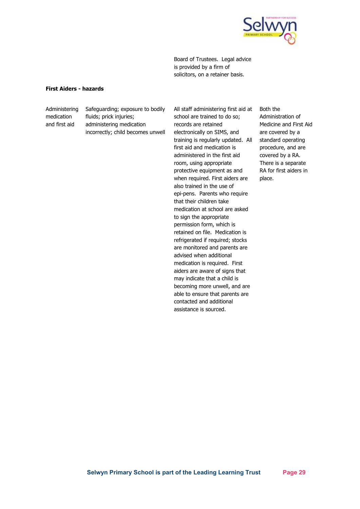

Board of Trustees. Legal advice is provided by a firm of solicitors, on a retainer basis.

#### **First Aiders - hazards**

Administering medication and first aid

Safeguarding; exposure to bodily fluids; prick injuries; administering medication incorrectly; child becomes unwell All staff administering first aid at school are trained to do so; records are retained electronically on SIMS, and training is regularly updated. All first aid and medication is administered in the first aid room, using appropriate protective equipment as and when required. First aiders are also trained in the use of epi-pens. Parents who require that their children take medication at school are asked to sign the appropriate permission form, which is retained on file. Medication is refrigerated if required; stocks are monitored and parents are advised when additional medication is required. First aiders are aware of signs that may indicate that a child is becoming more unwell, and are able to ensure that parents are contacted and additional assistance is sourced.

Both the Administration of Medicine and First Aid are covered by a standard operating procedure, and are covered by a RA. There is a separate RA for first aiders in place.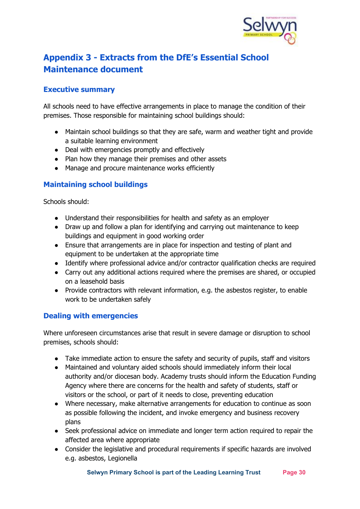

# <span id="page-29-0"></span>**Appendix 3 - Extracts from the DfE's Essential School Maintenance document**

#### <span id="page-29-1"></span>**Executive summary**

All schools need to have effective arrangements in place to manage the condition of their premises. Those responsible for maintaining school buildings should:

- Maintain school buildings so that they are safe, warm and weather tight and provide a suitable learning environment
- Deal with emergencies promptly and effectively
- Plan how they manage their premises and other assets
- Manage and procure maintenance works efficiently

#### <span id="page-29-2"></span>**Maintaining school buildings**

Schools should:

- Understand their responsibilities for health and safety as an employer
- Draw up and follow a plan for identifying and carrying out maintenance to keep buildings and equipment in good working order
- Ensure that arrangements are in place for inspection and testing of plant and equipment to be undertaken at the appropriate time
- Identify where professional advice and/or contractor qualification checks are required
- Carry out any additional actions required where the premises are shared, or occupied on a leasehold basis
- Provide contractors with relevant information, e.g. the asbestos register, to enable work to be undertaken safely

#### <span id="page-29-3"></span>**Dealing with emergencies**

Where unforeseen circumstances arise that result in severe damage or disruption to school premises, schools should:

- Take immediate action to ensure the safety and security of pupils, staff and visitors
- Maintained and voluntary aided schools should immediately inform their local authority and/or diocesan body. Academy trusts should inform the Education Funding Agency where there are concerns for the health and safety of students, staff or visitors or the school, or part of it needs to close, preventing education
- Where necessary, make alternative arrangements for education to continue as soon as possible following the incident, and invoke emergency and business recovery plans
- Seek professional advice on immediate and longer term action required to repair the affected area where appropriate
- Consider the legislative and procedural requirements if specific hazards are involved e.g. asbestos, Legionella